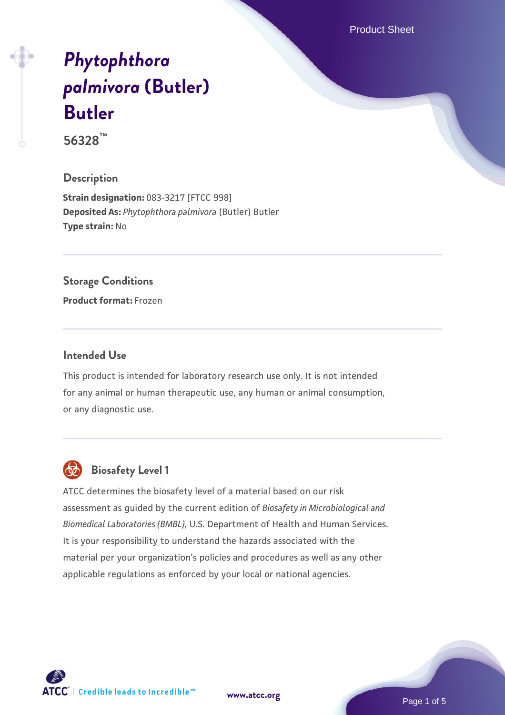Product Sheet

# *[Phytophthora](https://www.atcc.org/products/56328) [palmivora](https://www.atcc.org/products/56328)* **[\(Butler\)](https://www.atcc.org/products/56328) [Butler](https://www.atcc.org/products/56328)**

**56328™**

#### **Description**

**Strain designation:** 083-3217 [FTCC 998] **Deposited As:** *Phytophthora palmivora* (Butler) Butler **Type strain:** No

#### **Storage Conditions**

**Product format:** Frozen

#### **Intended Use**

This product is intended for laboratory research use only. It is not intended for any animal or human therapeutic use, any human or animal consumption, or any diagnostic use.



# **Biosafety Level 1**

ATCC determines the biosafety level of a material based on our risk assessment as guided by the current edition of *Biosafety in Microbiological and Biomedical Laboratories (BMBL)*, U.S. Department of Health and Human Services. It is your responsibility to understand the hazards associated with the material per your organization's policies and procedures as well as any other applicable regulations as enforced by your local or national agencies.

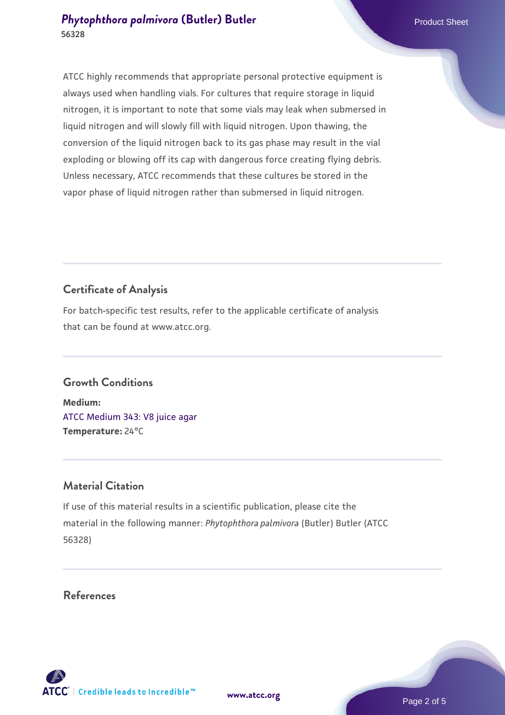#### **[Phytophthora palmivora](https://www.atcc.org/products/56328) [\(Butler\) Butler](https://www.atcc.org/products/56328)** Product Sheet **56328**

ATCC highly recommends that appropriate personal protective equipment is always used when handling vials. For cultures that require storage in liquid nitrogen, it is important to note that some vials may leak when submersed in liquid nitrogen and will slowly fill with liquid nitrogen. Upon thawing, the conversion of the liquid nitrogen back to its gas phase may result in the vial exploding or blowing off its cap with dangerous force creating flying debris. Unless necessary, ATCC recommends that these cultures be stored in the vapor phase of liquid nitrogen rather than submersed in liquid nitrogen.

### **Certificate of Analysis**

For batch-specific test results, refer to the applicable certificate of analysis that can be found at www.atcc.org.

#### **Growth Conditions**

**Medium:**  [ATCC Medium 343: V8 juice agar](https://www.atcc.org/-/media/product-assets/documents/microbial-media-formulations/3/4/3/atcc-medium-0343.pdf?rev=fbf48fa24e664932828269db1822ab12) **Temperature:** 24°C

#### **Material Citation**

If use of this material results in a scientific publication, please cite the material in the following manner: *Phytophthora palmivora* (Butler) Butler (ATCC 56328)

#### **References**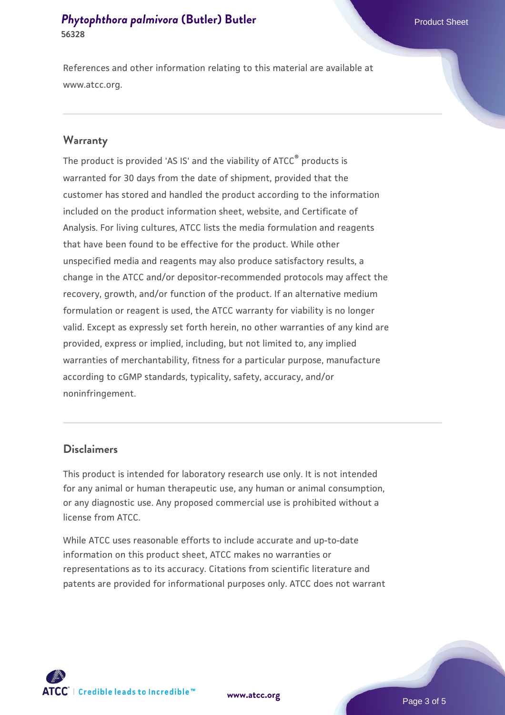#### **[Phytophthora palmivora](https://www.atcc.org/products/56328) [\(Butler\) Butler](https://www.atcc.org/products/56328)** Product Sheet **56328**

References and other information relating to this material are available at www.atcc.org.

#### **Warranty**

The product is provided 'AS IS' and the viability of ATCC® products is warranted for 30 days from the date of shipment, provided that the customer has stored and handled the product according to the information included on the product information sheet, website, and Certificate of Analysis. For living cultures, ATCC lists the media formulation and reagents that have been found to be effective for the product. While other unspecified media and reagents may also produce satisfactory results, a change in the ATCC and/or depositor-recommended protocols may affect the recovery, growth, and/or function of the product. If an alternative medium formulation or reagent is used, the ATCC warranty for viability is no longer valid. Except as expressly set forth herein, no other warranties of any kind are provided, express or implied, including, but not limited to, any implied warranties of merchantability, fitness for a particular purpose, manufacture according to cGMP standards, typicality, safety, accuracy, and/or noninfringement.

#### **Disclaimers**

This product is intended for laboratory research use only. It is not intended for any animal or human therapeutic use, any human or animal consumption, or any diagnostic use. Any proposed commercial use is prohibited without a license from ATCC.

While ATCC uses reasonable efforts to include accurate and up-to-date information on this product sheet, ATCC makes no warranties or representations as to its accuracy. Citations from scientific literature and patents are provided for informational purposes only. ATCC does not warrant

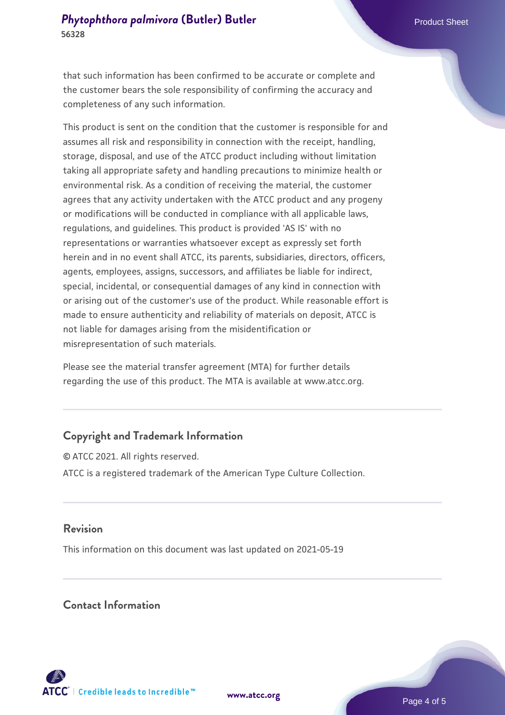that such information has been confirmed to be accurate or complete and the customer bears the sole responsibility of confirming the accuracy and completeness of any such information.

This product is sent on the condition that the customer is responsible for and assumes all risk and responsibility in connection with the receipt, handling, storage, disposal, and use of the ATCC product including without limitation taking all appropriate safety and handling precautions to minimize health or environmental risk. As a condition of receiving the material, the customer agrees that any activity undertaken with the ATCC product and any progeny or modifications will be conducted in compliance with all applicable laws, regulations, and guidelines. This product is provided 'AS IS' with no representations or warranties whatsoever except as expressly set forth herein and in no event shall ATCC, its parents, subsidiaries, directors, officers, agents, employees, assigns, successors, and affiliates be liable for indirect, special, incidental, or consequential damages of any kind in connection with or arising out of the customer's use of the product. While reasonable effort is made to ensure authenticity and reliability of materials on deposit, ATCC is not liable for damages arising from the misidentification or misrepresentation of such materials.

Please see the material transfer agreement (MTA) for further details regarding the use of this product. The MTA is available at www.atcc.org.

#### **Copyright and Trademark Information**

© ATCC 2021. All rights reserved. ATCC is a registered trademark of the American Type Culture Collection.

#### **Revision**

This information on this document was last updated on 2021-05-19

#### **Contact Information**